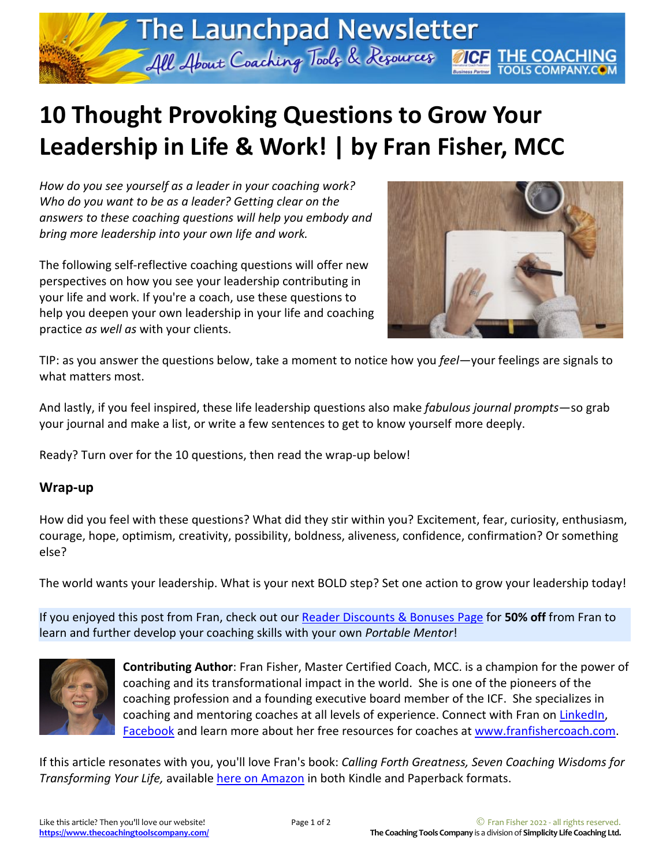## **10 Thought Provoking Questions to Grow Your Leadership in Life & Work! | by Fran Fisher, MCC**

The Launchpad Newsletter

All About Coaching Tools & Resources 11CF II

*How do you see yourself as a leader in your coaching work? Who do you want to be as a leader? Getting clear on the answers to these coaching questions will help you embody and bring more leadership into your own life and work.*

The following self-reflective coaching questions will offer new perspectives on how you see your leadership contributing in your life and work. If you're a coach, use these questions to help you deepen your own leadership in your life and coaching practice *as well as* with your clients.



**DOLS COMPANY.COM** 

TIP: as you answer the questions below, take a moment to notice how you *feel*—your feelings are signals to what matters most.

And lastly, if you feel inspired, these life leadership questions also make *fabulous journal prompts*—so grab your journal and make a list, or write a few sentences to get to know yourself more deeply.

Ready? Turn over for the 10 questions, then read the wrap-up below!

## **Wrap-up**

How did you feel with these questions? What did they stir within you? Excitement, fear, curiosity, enthusiasm, courage, hope, optimism, creativity, possibility, boldness, aliveness, confidence, confirmation? Or something else?

The world wants your leadership. What is your next BOLD step? Set one action to grow your leadership today!

If you enjoyed this post from Fran, check out our [Reader Discounts](https://www.thecoachingtoolscompany.com/reader-coaching-discounts-bonuses-page/) & Bonuses Page for **50% off** from Fran to learn and further develop your coaching skills with your own *Portable Mentor*!



**Contributing Author**: Fran Fisher, Master Certified Coach, MCC. is a champion for the power of coaching and its transformational impact in the world. She is one of the pioneers of the coaching profession and a founding executive board member of the ICF. She specializes in coaching and mentoring coaches at all levels of experience. Connect with Fran on [LinkedIn,](https://www.linkedin.com/in/franfisher) [Facebook](https://www.facebook.com/franfishercoach/) and learn more about her free resources for coaches at [www.franfishercoach.com.](http://www.franfishercoach.com/)

If this article resonates with you, you'll love Fran's book: *Calling Forth Greatness, Seven Coaching Wisdoms for Transforming Your Life,* available [here on Amazon](https://www.amazon.com/Calling-Forth-Greatness-Coaching-Transforming-ebook/dp/B06XRKHYMY) in both Kindle and Paperback formats.